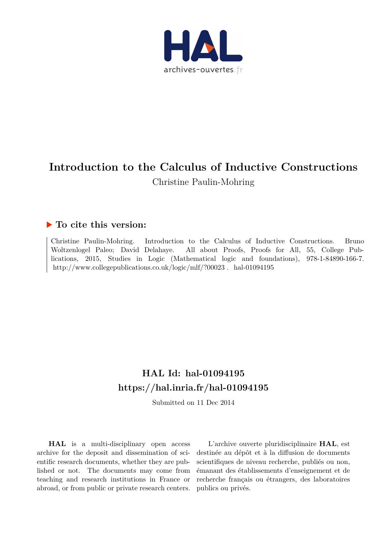

# **Introduction to the Calculus of Inductive Constructions** Christine Paulin-Mohring

### **To cite this version:**

Christine Paulin-Mohring. Introduction to the Calculus of Inductive Constructions. Bruno Woltzenlogel Paleo; David Delahaye. All about Proofs, Proofs for All, 55, College Publications, 2015, Studies in Logic (Mathematical logic and foundations), 978-1-84890-166-7. http://www.collegepublications.co.uk/logic/mlf/?00023.hal-01094195

## **HAL Id: hal-01094195 <https://hal.inria.fr/hal-01094195>**

Submitted on 11 Dec 2014

**HAL** is a multi-disciplinary open access archive for the deposit and dissemination of scientific research documents, whether they are published or not. The documents may come from teaching and research institutions in France or abroad, or from public or private research centers.

L'archive ouverte pluridisciplinaire **HAL**, est destinée au dépôt et à la diffusion de documents scientifiques de niveau recherche, publiés ou non, émanant des établissements d'enseignement et de recherche français ou étrangers, des laboratoires publics ou privés.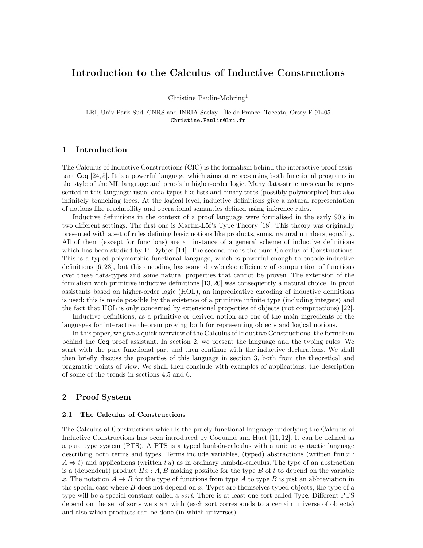### Introduction to the Calculus of Inductive Constructions

Christine Paulin-Mohring<sup>1</sup>

LRI, Univ Paris-Sud, CNRS and INRIA Saclay - Île-de-France, Toccata, Orsay F-91405 Christine.Paulin@lri.fr

#### 1 Introduction

The Calculus of Inductive Constructions (CIC) is the formalism behind the interactive proof assistant Coq [24, 5]. It is a powerful language which aims at representing both functional programs in the style of the ML language and proofs in higher-order logic. Many data-structures can be represented in this language: usual data-types like lists and binary trees (possibly polymorphic) but also infinitely branching trees. At the logical level, inductive definitions give a natural representation of notions like reachability and operational semantics defined using inference rules.

Inductive definitions in the context of a proof language were formalised in the early 90's in two different settings. The first one is Martin-Löf's Type Theory [18]. This theory was originally presented with a set of rules defining basic notions like products, sums, natural numbers, equality. All of them (except for functions) are an instance of a general scheme of inductive definitions which has been studied by P. Dybjer [14]. The second one is the pure Calculus of Constructions. This is a typed polymorphic functional language, which is powerful enough to encode inductive definitions [6, 23], but this encoding has some drawbacks: efficiency of computation of functions over these data-types and some natural properties that cannot be proven. The extension of the formalism with primitive inductive definitions [13, 20] was consequently a natural choice. In proof assistants based on higher-order logic (HOL), an impredicative encoding of inductive definitions is used: this is made possible by the existence of a primitive infinite type (including integers) and the fact that HOL is only concerned by extensional properties of objects (not computations) [22].

Inductive definitions, as a primitive or derived notion are one of the main ingredients of the languages for interactive theorem proving both for representing objects and logical notions.

In this paper, we give a quick overview of the Calculus of Inductive Constructions, the formalism behind the Coq proof assistant. In section 2, we present the language and the typing rules. We start with the pure functional part and then continue with the inductive declarations. We shall then briefly discuss the properties of this language in section 3, both from the theoretical and pragmatic points of view. We shall then conclude with examples of applications, the description of some of the trends in sections 4,5 and 6.

#### 2 Proof System

#### 2.1 The Calculus of Constructions

The Calculus of Constructions which is the purely functional language underlying the Calculus of Inductive Constructions has been introduced by Coquand and Huet [11, 12]. It can be defined as a pure type system (PTS). A PTS is a typed lambda-calculus with a unique syntactic language describing both terms and types. Terms include variables, (typed) abstractions (written fun  $x$ :  $A \Rightarrow t$ ) and applications (written t u) as in ordinary lambda-calculus. The type of an abstraction is a (dependent) product  $\Pi x : A, B$  making possible for the type B of t to depend on the variable x. The notation  $A \rightarrow B$  for the type of functions from type A to type B is just an abbreviation in the special case where  $B$  does not depend on  $x$ . Types are themselves typed objects, the type of a type will be a special constant called a *sort*. There is at least one sort called Type. Different PTS depend on the set of sorts we start with (each sort corresponds to a certain universe of objects) and also which products can be done (in which universes).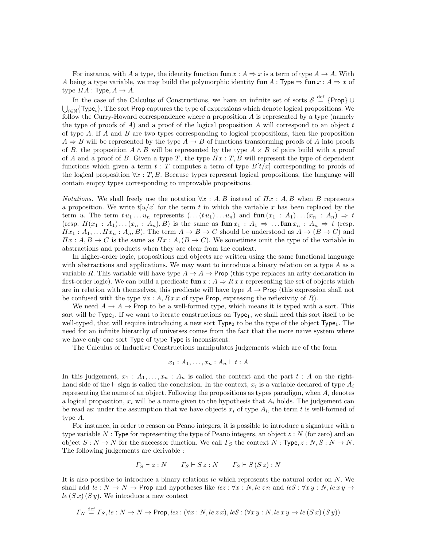For instance, with A a type, the identity function  $\tan x : A \Rightarrow x$  is a term of type  $A \rightarrow A$ . With A being a type variable, we may build the polymorphic identity  $\tan A : \text{Type} \Rightarrow \text{fun } x : A \Rightarrow x$  of type  $\Pi A$ : Type,  $A \rightarrow A$ .

In the case of the Calculus of Constructions, we have an infinite set of sorts  $S \stackrel{\text{def}}{=} \{ \text{Prop} \} \cup$  $\bigcup_{i\in\mathbb{N}}\{\textsf{Type}_i\}.$  The sort Prop captures the type of expressions which denote logical propositions. We follow the Curry-Howard correspondence where a proposition A is represented by a type (namely the type of proofs of  $A$ ) and a proof of the logical proposition  $A$  will correspond to an object  $t$ of type  $A$ . If  $A$  and  $B$  are two types corresponding to logical propositions, then the proposition  $A \Rightarrow B$  will be represented by the type  $A \to B$  of functions transforming proofs of A into proofs of B, the proposition  $A \wedge B$  will be represented by the type  $A \times B$  of pairs build with a proof of A and a proof of B. Given a type  $T$ , the type  $\Pi x$ : T, B will represent the type of dependent functions which given a term  $t : T$  computes a term of type  $B[t/x]$  corresponding to proofs of the logical proposition  $\forall x : T, B$ . Because types represent logical propositions, the language will contain empty types corresponding to unprovable propositions.

*Notations.* We shall freely use the notation  $\forall x : A, B$  instead of  $\Pi x : A, B$  when B represents a proposition. We write  $t[u/x]$  for the term t in which the variable x has been replaced by the term u. The term  $t u_1 \ldots u_n$  represents  $(\ldots (t u_1) \ldots u_n)$  and  $\text{fun}(x_1 : A_1) \ldots (x_n : A_n) \Rightarrow t$ (resp.  $\Pi(x_1 : A_1) \dots (x_n : A_n)$ , B) is the same as  $\text{fun } x_1 : A_1 \Rightarrow \dots \text{fun } x_n : A_n \Rightarrow t$  (resp.  $\Pi x_1 : A_1, \ldots \Pi x_n : A_n, B$ . The term  $A \to B \to C$  should be understood as  $A \to (B \to C)$  and  $\Pi x : A, B \to C$  is the same as  $\Pi x : A, (B \to C)$ . We sometimes omit the type of the variable in abstractions and products when they are clear from the context.

In higher-order logic, propositions and objects are written using the same functional language with abstractions and applications. We may want to introduce a binary relation on a type  $A$  as a variable R. This variable will have type  $A \to A \to$  Prop (this type replaces an arity declaration in first-order logic). We can build a predicate fun  $x : A \Rightarrow Rx x$  representing the set of objects which are in relation with themselves, this predicate will have type  $A \to \text{Prop}$  (this expression shall not be confused with the type  $\forall x : A, R x x$  of type Prop, expressing the reflexivity of R).

We need  $A \to A \to$  Prop to be a well-formed type, which means it is typed with a sort. This sort will be  $Type_1$ . If we want to iterate constructions on  $Type_1$ , we shall need this sort itself to be well-typed, that will require introducing a new sort  $\mathsf{Type}_2$  to be the type of the object  $\mathsf{Type}_1$ . The need for an infinite hierarchy of universes comes from the fact that the more naive system where we have only one sort Type of type Type is inconsistent.

The Calculus of Inductive Constructions manipulates judgements which are of the form

$$
x_1 : A_1, \ldots, x_n : A_n \vdash t : A
$$

In this judgement,  $x_1 : A_1, \ldots, x_n : A_n$  is called the context and the part  $t : A$  on the righthand side of the ⊢ sign is called the conclusion. In the context,  $x_i$  is a variable declared of type  $A_i$ representing the name of an object. Following the propositions as types paradigm, when  $A_i$  denotes a logical proposition,  $x_i$  will be a name given to the hypothesis that  $A_i$  holds. The judgement can be read as: under the assumption that we have objects  $x_i$  of type  $A_i$ , the term t is well-formed of type A.

For instance, in order to reason on Peano integers, it is possible to introduce a signature with a type variable N : Type for representing the type of Peano integers, an object  $z : N$  (for zero) and an object  $S : N \to N$  for the successor function. We call  $\Gamma_S$  the context  $N : Type, z : N, S : N \to N$ . The following judgements are derivable :

$$
\Gamma_S \vdash z : N \qquad \Gamma_S \vdash S z : N \qquad \Gamma_S \vdash S(Sz) : N
$$

It is also possible to introduce a binary relations le which represents the natural order on  $N$ . We shall add  $le: N \to N \to$  Prop and hypotheses like  $le: \forall x: N, le z n$  and  $leS : \forall x y: N, le xy \to$  $le(S x)(Sy)$ . We introduce a new context

$$
\Gamma_N \stackrel{\text{def}}{=} \Gamma_S, le : N \to N \to \text{Prop}, lez : (\forall x : N, le z x), leS : (\forall x y : N, le x y \to le(S x)(S y))
$$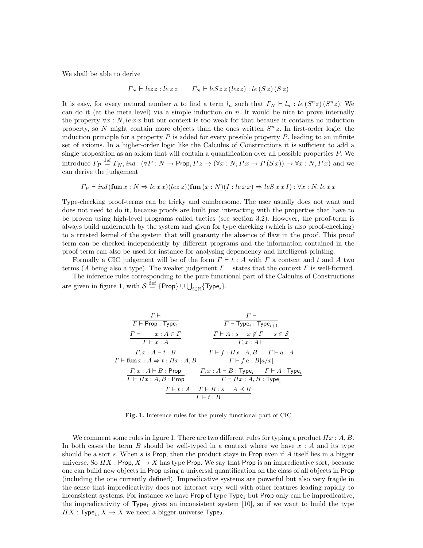We shall be able to derive

$$
\Gamma_N \vdash lezz : lezz \qquad \Gamma_N \vdash leSz \, z \, (lezz) : le \, (S \, z) \, (S \, z)
$$

It is easy, for every natural number n to find a term  $l_n$  such that  $\Gamma_N \vdash l_n : le (S^n z) (S^n z)$ . We can do it (at the meta level) via a simple induction on  $n$ . It would be nice to prove internally the property  $\forall x : N$ , lext but our context is too weak for that because it contains no induction property, so N might contain more objects than the ones written  $S<sup>n</sup> z$ . In first-order logic, the induction principle for a property  $P$  is added for every possible property  $P$ , leading to an infinite set of axioms. In a higher-order logic like the Calculus of Constructions it is sufficient to add a single proposition as an axiom that will contain a quantification over all possible properties  $P$ . We introduce  $\Gamma_P \stackrel{\text{def}}{=} \Gamma_N$ , ind:  $(\forall P : N \to \text{Prop}, P z \to (\forall x : N, P x \to P(S x)) \to \forall x : N, P x)$  and we can derive the judgement

$$
\Gamma_P \vdash ind(\textbf{fun } x : N \Rightarrow le \, x \, x)(lez)(\textbf{fun } (x : N)(I : le \, x \, x) \Rightarrow leS \, x \, x \, I) : \forall x : N, le \, x \, x
$$

Type-checking proof-terms can be tricky and cumbersome. The user usually does not want and does not need to do it, because proofs are built just interacting with the properties that have to be proven using high-level programs called tactics (see section 3.2). However, the proof-term is always build underneath by the system and given for type checking (which is also proof-checking) to a trusted kernel of the system that will guaranty the absence of flaw in the proof. This proof term can be checked independently by different programs and the information contained in the proof term can also be used for instance for analysing dependency and intelligent printing.

Formally a CIC judgement will be of the form  $\Gamma \vdash t : A$  with  $\Gamma$  a context and t and A two terms (A being also a type). The weaker judgement  $\Gamma \vdash$  states that the context  $\Gamma$  is well-formed.

The inference rules corresponding to the pure functional part of the Calculus of Constructions are given in figure 1, with  $\mathcal{S} \stackrel{\text{def}}{=} \{ \mathsf{Prop} \} \cup \bigcup_{i \in \mathbb{N}} \{ \mathsf{Type}_i \}.$ 

$$
\begin{array}{c|c|c} & \multicolumn{3}{|c|}{r\vdash} & \multicolumn{3}{|c|}{r\vdash} \\ \hline \hline \multicolumn{3}{|c|}{r\vdash} \text{Prop}: \text{Type}_1 & \multicolumn{3}{|c|}{r\vdash} \text{Type}_i: \text{Type}_{i+1} \\ & \multicolumn{3}{|c|}{r\vdash x:A\in\varGamma} & \multicolumn{3}{|c|}{r\vdash A:s\quad x\notin\varGamma \quad s\in\mathcal{S}} \\ & \multicolumn{3}{|c|}{r\vdash x:A} & \multicolumn{3}{|c|}{r\vdash A:s\quad x\notin\varGamma \quad s\in\mathcal{S}} \\ \hline \multicolumn{3}{|c|}{r\vdash \text{fun}\, x:A\Rightarrow t: \text{Ix}:A,B} & \multicolumn{3}{|c|}{r\vdash f: \text{Ix}:A,B} & \multicolumn{3}{|c|}{r\vdash f\:: B[a/x]} \\ & \multicolumn{3}{|c|}{r\vdash x:A\Rightarrow t: \text{Tr}\, x:A\vdash B: \text{Type}_i & \multicolumn{3}{|c|}{r\vdash A: \text{Type}_i} \\ & \multicolumn{3}{|c|}{r\vdash x:A,B: \text{Prop}} & \multicolumn{3}{|c|}{r\vdash x:A,B: \text{Type}_i & \multicolumn{3}{|c|}{r\vdash x:A,B: \text{Type}_i} \\ & \multicolumn{3}{|c|}{r\vdash t:A\quad r\vdash B:s\quad A\preceq B} \\ & \multicolumn{3}{|c|}{r\vdash t:B} & \multicolumn{3}{|c|}{r\vdash t:B} \end{array}
$$

Fig. 1. Inference rules for the purely functional part of CIC

We comment some rules in figure 1. There are two different rules for typing a product  $\Pi x : A, B$ . In both cases the term B should be well-typed in a context where we have  $x : A$  and its type should be a sort s. When s is Prop, then the product stays in Prop even if A itself lies in a bigger universe. So  $\Pi X : \text{Prop}, X \to X$  has type Prop. We say that Prop is an impredicative sort, because one can build new objects in Prop using a universal quantification on the class of all objects in Prop (including the one currently defined). Impredicative systems are powerful but also very fragile in the sense that impredicativity does not interact very well with other features leading rapidly to inconsistent systems. For instance we have Prop of type  $Type_1$  but Prop only can be impredicative, the impredicativity of Type<sub>1</sub> gives an inconsistent system [10], so if we want to build the type  $\varPi X : \mathsf{Type}_1, X \to X$  we need a bigger universe  $\mathsf{Type}_2$ .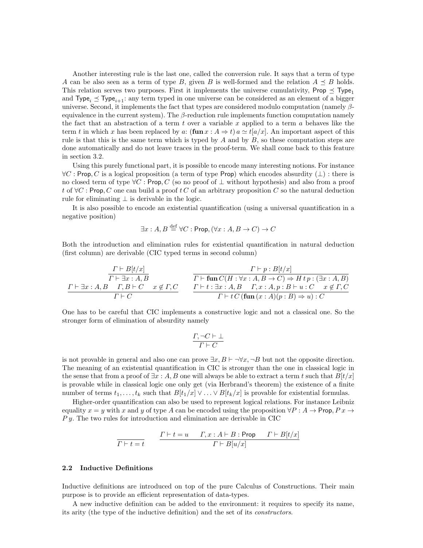Another interesting rule is the last one, called the conversion rule. It says that a term of type A can be also seen as a term of type B, given B is well-formed and the relation  $A \preceq B$  holds. This relation serves two purposes. First it implements the universe cumulativity, Prop  $\leq$  Type<sub>1</sub> and Type<sub>i</sub>  $\leq$  Type<sub>i+1</sub>: any term typed in one universe can be considered as an element of a bigger universe. Second, it implements the fact that types are considered modulo computation (namely  $\beta$ equivalence in the current system). The  $\beta$ -reduction rule implements function computation namely the fact that an abstraction of a term t over a variable x applied to a term a behaves like the term t in which x has been replaced by a:  $(\text{fun } x : A \Rightarrow t)$  a  $\simeq t [a/x]$ . An important aspect of this rule is that this is the same term which is typed by  $A$  and by  $B$ , so these computation steps are done automatically and do not leave traces in the proof-term. We shall come back to this feature in section 3.2.

Using this purely functional part, it is possible to encode many interesting notions. For instance  $\forall C$ : Prop, C is a logical proposition (a term of type Prop) which encodes absurdity ( $\bot$ ): there is no closed term of type  $\forall C$ : Prop, C (so no proof of  $\bot$  without hypothesis) and also from a proof t of  $\forall C$ : Prop, C one can build a proof t C of an arbitrary proposition C so the natural deduction rule for eliminating  $\perp$  is derivable in the logic.

It is also possible to encode an existential quantification (using a universal quantification in a negative position)

$$
\exists x:A, B \stackrel{\text{def}}{=} \forall C : \mathsf{Prop}, (\forall x:A, B \to C) \to C
$$

Both the introduction and elimination rules for existential quantification in natural deduction (first column) are derivable (CIC typed terms in second column)

$$
\frac{\Gamma \vdash B[t/x]}{\Gamma \vdash \exists x:A,B} \qquad \qquad \frac{\Gamma \vdash p:B[t/x]}{\Gamma \vdash \text{fun}\, C(H:\forall x:A,B \to C) \Rightarrow Htp:(\exists x:A,B)} \newline \frac{\Gamma \vdash \exists x:A,B \quad \Gamma,B \vdash C \quad x \notin \Gamma, C}{\Gamma \vdash t:\exists x:A,B \quad \Gamma,x:A,p:B \vdash u:C \quad x \notin \Gamma, C} \newline \qquad \qquad \frac{\Gamma \vdash t:\exists x:A,B \quad \Gamma,x:A,p:B \vdash u:C \quad x \notin \Gamma, C}{\Gamma \vdash t \ C \ (\text{fun}\, (x:A)(p:B) \Rightarrow u):C}
$$

One has to be careful that CIC implements a constructive logic and not a classical one. So the stronger form of elimination of absurdity namely

$$
\frac{\varGamma,\neg C\vdash\bot}{\varGamma\vdash C}
$$

is not provable in general and also one can prove  $\exists x, B \vdash \neg \forall x, \neg B$  but not the opposite direction. The meaning of an existential quantification in CIC is stronger than the one in classical logic in the sense that from a proof of  $\exists x : A, B$  one will always be able to extract a term t such that  $B[t/x]$ is provable while in classical logic one only get (via Herbrand's theorem) the existence of a finite number of terms  $t_1, \ldots, t_k$  such that  $B[t_1/x] \vee \ldots \vee B[t_k/x]$  is provable for existential formulas.

Higher-order quantification can also be used to represent logical relations. For instance Leibniz equality  $x = y$  with x and y of type A can be encoded using the proposition  $\forall P : A \rightarrow \text{Prop}, P x \rightarrow \text{Prop}, P x \rightarrow \text{Prop}$  $P y$ . The two rules for introduction and elimination are derivable in CIC

$$
\cfrac{\Gamma\vdash t=u\qquad \Gamma, x:A\vdash B:\mathsf{Prop}\qquad \Gamma\vdash B[t/x]}{\Gamma\vdash B[u/x]}
$$

#### 2.2 Inductive Definitions

Inductive definitions are introduced on top of the pure Calculus of Constructions. Their main purpose is to provide an efficient representation of data-types.

A new inductive definition can be added to the environment: it requires to specify its name, its arity (the type of the inductive definition) and the set of its constructors.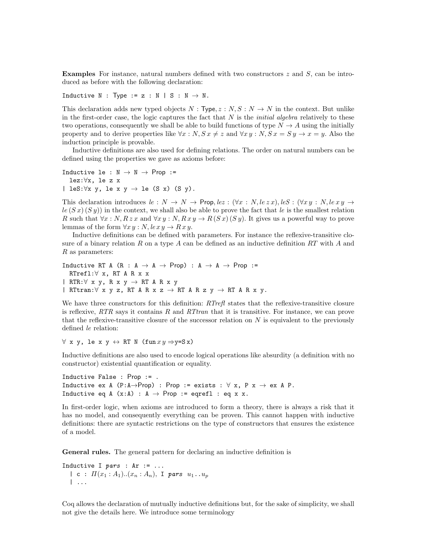**Examples** For instance, natural numbers defined with two constructors  $z$  and  $S$ , can be introduced as before with the following declaration:

Inductive N : Type :=  $z : N | S : N \rightarrow N$ .

This declaration adds new typed objects  $N : Type, z : N, S : N \rightarrow N$  in the context. But unlike in the first-order case, the logic captures the fact that  $N$  is the *initial algebra* relatively to these two operations, consequently we shall be able to build functions of type  $N \to A$  using the initially property and to derive properties like  $\forall x : N, S \, x \neq z$  and  $\forall x \, y : N, S \, x = S \, y \rightarrow x = y$ . Also the induction principle is provable.

Inductive definitions are also used for defining relations. The order on natural numbers can be defined using the properties we gave as axioms before:

Inductive le :  $N \rightarrow N \rightarrow$  Prop := lez:∀x, le z x | leS: $\forall x \ y$ , le  $x \ y \rightarrow$  le (S x) (S y).

This declaration introduces  $le: N \to N \to$  Prop,  $le: (\forall x: N, le\ z x)$ ,  $le: (\forall x y: N, le\ xy \to$  $l_{e}(S x)(S y)$  in the context, we shall also be able to prove the fact that le is the smallest relation R such that  $\forall x : N, R \, z \, x$  and  $\forall x \, y : N, R \, x \, y \rightarrow R \, (S \, x) \, (S \, y)$ . It gives us a powerful way to prove lemmas of the form  $\forall x \, y : N$ ,  $\text{lex } y \to R \, x \, y$ .

Inductive definitions can be defined with parameters. For instance the reflexive-transitive closure of a binary relation R on a type A can be defined as an inductive definition  $RT$  with A and  $R$  as parameters:

Inductive RT A (R : A  $\rightarrow$  A  $\rightarrow$  Prop) : A  $\rightarrow$  A  $\rightarrow$  Prop := RTrefl:∀ x, RT A R x x  $|$  RTR: $\forall$  x y, R x y  $\rightarrow$  RT A R x y | RTtran: $\forall$  x y z, RT A R x z  $\rightarrow$  RT A R z y  $\rightarrow$  RT A R x y.

We have three constructors for this definition:  $RTrefl$  states that the reflexive-transitive closure is reflexive,  $RTR$  says it contains R and  $RTran$  that it is transitive. For instance, we can prove that the reflexive-transitive closure of the successor relation on  $N$  is equivalent to the previously defined le relation:

 $\forall$  x y, le x y  $\leftrightarrow$  RT N (fun  $xy \Rightarrow y=Sx$ )

Inductive definitions are also used to encode logical operations like absurdity (a definition with no constructor) existential quantification or equality.

```
Inductive False : Prop := .
Inductive ex A (P:A\rightarrowProp) : Prop := exists : \forall x, P x \rightarrow ex A P.
Inductive eq A (x:A) : A \rightarrow Prop := eqrefl : eq x x.
```
In first-order logic, when axioms are introduced to form a theory, there is always a risk that it has no model, and consequently everything can be proven. This cannot happen with inductive definitions: there are syntactic restrictions on the type of constructors that ensures the existence of a model.

General rules. The general pattern for declaring an inductive definition is

Inductive I  $pars : Ar := ...$ | c :  $\Pi(x_1 : A_1) \ldots (x_n : A_n)$ , I pars  $u_1 \ldots u_p$ | ...

Coq allows the declaration of mutually inductive definitions but, for the sake of simplicity, we shall not give the details here. We introduce some terminology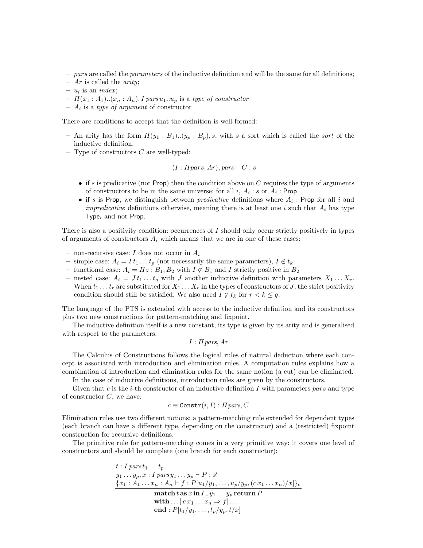- $-$  pars are called the parameters of the inductive definition and will be the same for all definitions;
- $Ar$  is called the *arity*;
- $u_i$  is an *index*;
- $-I\left(x_1:A_1\right)$ .. $(x_n:A_n)$ , I pars  $u_1.u_p$  is a type of constructor
- $A_i$  is a type of argument of constructor

There are conditions to accept that the definition is well-formed:

- An arity has the form  $\Pi(y_1 : B_1) \cdot (y_p : B_p)$ , s, with s a sort which is called the sort of the inductive definition.
- $-$  Type of constructors  $C$  are well-typed:

$$
(I:Ipars, Ar), pars \vdash C : s
$$

- if s is predicative (not Prop) then the condition above on  $C$  requires the type of arguments of constructors to be in the same universe: for all  $i, A_i : s$  or  $A_i :$  Prop
- if s is Prop, we distinguish between *predicative* definitions where  $A_i$ : Prop for all i and *impredicative* definitions otherwise, meaning there is at least one i such that  $A_i$  has type Type<sub>i</sub> and not Prop.

There is also a positivity condition: occurrences of I should only occur strictly positively in types of arguments of constructors  $A_i$  which means that we are in one of these cases:

- non-recursive case: I does not occur in  $A_i$
- simple case:  $A_i = I t_1 \dots t_p$  (not necessarily the same parameters),  $I \notin t_k$
- functional case:  $A_i = \Pi z : B_1, B_2$  with  $I \notin B_1$  and I strictly positive in  $B_2$
- nested case:  $A_i = J t_1 \dots t_q$  with J another inductive definition with parameters  $X_1 \dots X_r$ . When  $t_1 \ldots t_r$  are substituted for  $X_1 \ldots X_r$  in the types of constructors of J, the strict positivity condition should still be satisfied. We also need  $I \notin t_k$  for  $r < k \leq q$ .

The language of the PTS is extended with access to the inductive definition and its constructors plus two new constructions for pattern-matching and fixpoint.

The inductive definition itself is a new constant, its type is given by its arity and is generalised with respect to the parameters.

$$
I
$$
:  $\Pi$  *pars*,  $Ar$ 

The Calculus of Constructions follows the logical rules of natural deduction where each concept is associated with introduction and elimination rules. A computation rules explains how a combination of introduction and elimination rules for the same notion (a cut) can be eliminated.

In the case of inductive definitions, introduction rules are given by the constructors.

Given that c is the *i*-th constructor of an inductive definition I with parameters pars and type of constructor  $C$ , we have:

 $c \equiv \text{Constr}(i, I) : H \text{ pars}, C$ 

Elimination rules use two different notions: a pattern-matching rule extended for dependent types (each branch can have a different type, depending on the constructor) and a (restricted) fixpoint construction for recursive definitions.

The primitive rule for pattern-matching comes in a very primitive way: it covers one level of constructors and should be complete (one branch for each constructor):

$$
t: I \text{ } pars \, t_1 \ldots t_p
$$
\n
$$
y_1 \ldots y_p, x: I \text{ } pars \, y_1 \ldots y_p \vdash P : s'
$$
\n
$$
\{x_1: A_1 \ldots x_n: A_n \vdash f : P[u_1/y_1, \ldots, u_p/y_p, (c \, x_1 \ldots x_n)/x]\}_c
$$
\n
$$
\text{match } t \text{ as } x \text{ in } I \, y_1 \ldots y_p \text{ return } P
$$
\n
$$
\text{with } \ldots | c \, x_1 \ldots x_n \Rightarrow f | \ldots
$$
\n
$$
\text{end} : P[t_1/y_1, \ldots, t_p/y_p, t/x]
$$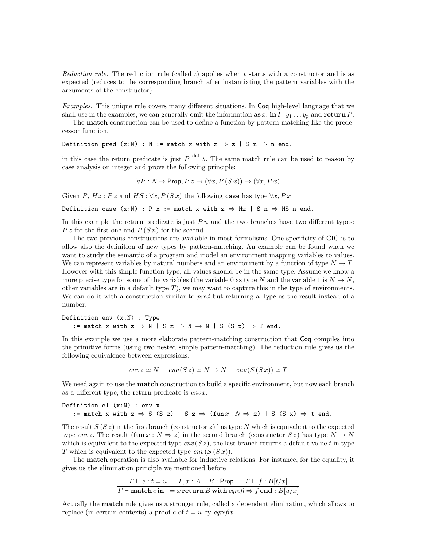Reduction rule. The reduction rule (called  $\iota$ ) applies when t starts with a constructor and is as expected (reduces to the corresponding branch after instantiating the pattern variables with the arguments of the constructor).

Examples. This unique rule covers many different situations. In Coq high-level language that we shall use in the examples, we can generally omit the information  $\mathbf{a} \mathbf{s} x$ ,  $\mathbf{m} I_y_1 \ldots y_p$  and return P.

The match construction can be used to define a function by pattern-matching like the predecessor function.

Definition pred  $(x:N)$  : N := match x with  $z \Rightarrow z | S n \Rightarrow n$  end.

in this case the return predicate is just  $P \stackrel{\text{def}}{=} \mathbb{N}$ . The same match rule can be used to reason by case analysis on integer and prove the following principle:

$$
\forall P: N \to \text{Prop}, P \, z \to (\forall x, P \, (S \, x)) \to (\forall x, P \, x)
$$

Given P,  $Hz : P z$  and  $HS : \forall x, P(Sx)$  the following case has type  $\forall x, P x$ 

Definition case  $(x:N)$  : P x := match x with  $z \Rightarrow Hz$  | S n  $\Rightarrow HS$  n end.

In this example the return predicate is just  $P_n$  and the two branches have two different types:  $P z$  for the first one and  $P(S n)$  for the second.

The two previous constructions are available in most formalisms. One specificity of CIC is to allow also the definition of new types by pattern-matching. An example can be found when we want to study the semantic of a program and model an environment mapping variables to values. We can represent variables by natural numbers and an environment by a function of type  $N \to T$ . However with this simple function type, all values should be in the same type. Assume we know a more precise type for some of the variables (the variable 0 as type N and the variable 1 is  $N \to N$ , other variables are in a default type  $T$ ), we may want to capture this in the type of environments. We can do it with a construction similar to *pred* but returning a Type as the result instead of a number:

Definition env (x:N) : Type := match x with  $z \Rightarrow N | S z \Rightarrow N \rightarrow N | S (S x) \Rightarrow T$  end.

In this example we use a more elaborate pattern-matching construction that Coq compiles into the primitive forms (using two nested simple pattern-matching). The reduction rule gives us the following equivalence between expressions:

$$
envz \simeq N
$$
  $env(Sz) \simeq N \rightarrow N$   $env(S(Sx)) \simeq T$ 

We need again to use the **match** construction to build a specific environment, but now each branch as a different type, the return predicate is  $envx$ .

Definition e1  $(x:N)$  : env x := match x with  $z \Rightarrow S$  (S z) | S  $z \Rightarrow$  (fun  $x : N \Rightarrow z$ ) | S (S x)  $\Rightarrow$  t end.

The result  $S(S z)$  in the first branch (constructor z) has type N which is equivalent to the expected type envz. The result  $(\text{fun } x : N \Rightarrow z)$  in the second branch (constructor  $S z$ ) has type  $N \rightarrow N$ which is equivalent to the expected type  $env(Sz)$ , the last branch returns a default value t in type T which is equivalent to the expected type  $env(S(Sx))$ .

The match operation is also available for inductive relations. For instance, for the equality, it gives us the elimination principle we mentioned before

$$
\frac{\Gamma \vdash e : t = u \qquad \Gamma, x : A \vdash B : \text{Prop} \qquad \Gamma \vdash f : B[t/x]}{\Gamma \vdash \textbf{match} \, e \, \textbf{in} \, = x \, \textbf{return} \, B \, \textbf{with} \, \textbf{e} \textbf{refl} \Rightarrow f \, \textbf{end} : B[u/x]}
$$

Actually the match rule gives us a stronger rule, called a dependent elimination, which allows to replace (in certain contexts) a proof e of  $t = u$  by eqrefit.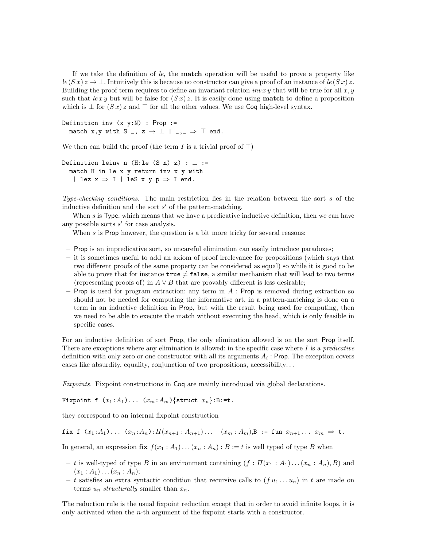If we take the definition of le, the match operation will be useful to prove a property like  $\ln \ln (S x) z \to \perp$ . Intuitively this is because no constructor can give a proof of an instance of  $\ln (S x) z$ . Building the proof term requires to define an invariant relation  $invxy$  that will be true for all  $x, y$ such that  $\ell x y$  but will be false for  $(S x) z$ . It is easily done using **match** to define a proposition which is  $\perp$  for  $(Sx)z$  and  $\top$  for all the other values. We use Coq high-level syntax.

```
Definition inv (x, y:N) : Prop :=
  match x,y with S _, z \rightarrow \perp | _, \Rightarrow \top end.
```
We then can build the proof (the term I is a trivial proof of  $\top$ )

```
Definition leinv n (H:le (S n) z) : \perp :=
  match H in le x y return inv x y with
   | lez x \Rightarrow I | leS x y p \Rightarrow I end.
```
Type-checking conditions. The main restriction lies in the relation between the sort s of the inductive definition and the sort  $s'$  of the pattern-matching.

When  $s$  is Type, which means that we have a predicative inductive definition, then we can have any possible sorts  $s'$  for case analysis.

When s is Prop however, the question is a bit more tricky for several reasons:

- Prop is an impredicative sort, so uncareful elimination can easily introduce paradoxes;
- it is sometimes useful to add an axiom of proof irrelevance for propositions (which says that two different proofs of the same property can be considered as equal) so while it is good to be able to prove that for instance  $true \neq false$ , a similar mechanism that will lead to two terms (representing proofs of) in  $A \vee B$  that are provably different is less desirable;
- Prop is used for program extraction: any term in  $A$ : Prop is removed during extraction so should not be needed for computing the informative art, in a pattern-matching is done on a term in an inductive definition in Prop, but with the result being used for computing, then we need to be able to execute the match without executing the head, which is only feasible in specific cases.

For an inductive definition of sort Prop, the only elimination allowed is on the sort Prop itself. There are exceptions where any elimination is allowed: in the specific case where  $I$  is a *predicative* definition with only zero or one constructor with all its arguments  $A_i$  : Prop. The exception covers cases like absurdity, equality, conjunction of two propositions, accessibility. . .

Fixpoints. Fixpoint constructions in Coq are mainly introduced via global declarations.

Fixpoint f  $(x_1:A_1)\ldots(x_m:A_m)\{\text{struct }x_n\}:\mathbf{B}:=\mathbf{t}.$ 

they correspond to an internal fixpoint construction

fix f  $(x_1:A_1) \ldots (x_n:A_n): \Pi(x_{n+1}:A_{n+1}) \ldots (x_m:A_m)$ ,  $B := \text{fun } x_{n+1} \ldots x_m \Rightarrow t$ .

In general, an expression  $\mathbf{fix} f(x_1 : A_1) \dots (x_n : A_n) : B := t$  is well typed of type B when

- t is well-typed of type B in an environment containing  $(f : \Pi(x_1 : A_1) \dots (x_n : A_n), B)$  and  $(x_1 : A_1) \ldots (x_n : A_n);$
- t satisfies an extra syntactic condition that recursive calls to  $(f u_1 \dots u_n)$  in t are made on terms  $u_n$  structurally smaller than  $x_n$ .

The reduction rule is the usual fixpoint reduction except that in order to avoid infinite loops, it is only activated when the  $n$ -th argument of the fixpoint starts with a constructor.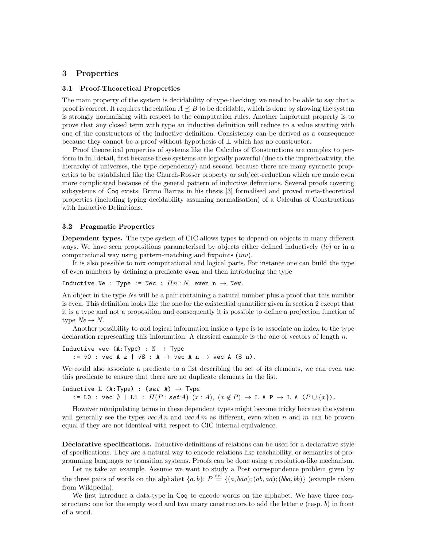#### 3 Properties

#### 3.1 Proof-Theoretical Properties

The main property of the system is decidability of type-checking: we need to be able to say that a proof is correct. It requires the relation  $A \preceq B$  to be decidable, which is done by showing the system is strongly normalizing with respect to the computation rules. Another important property is to prove that any closed term with type an inductive definition will reduce to a value starting with one of the constructors of the inductive definition. Consistency can be derived as a consequence because they cannot be a proof without hypothesis of  $\perp$  which has no constructor.

Proof theoretical properties of systems like the Calculus of Constructions are complex to perform in full detail, first because these systems are logically powerful (due to the impredicativity, the hierarchy of universes, the type dependency) and second because there are many syntactic properties to be established like the Church-Rosser property or subject-reduction which are made even more complicated because of the general pattern of inductive definitions. Several proofs covering subsystems of Coq exists, Bruno Barras in his thesis [3] formalised and proved meta-theoretical properties (including typing decidability assuming normalisation) of a Calculus of Constructions with Inductive Definitions.

#### 3.2 Pragmatic Properties

Dependent types. The type system of CIC allows types to depend on objects in many different ways. We have seen propositions parameterised by objects either defined inductively  $(le)$  or in a computational way using pattern-matching and fixpoints (inv).

It is also possible to mix computational and logical parts. For instance one can build the type of even numbers by defining a predicate even and then introducing the type

Inductive Ne : Type := Nec :  $\overline{I}n : N$ , even  $n \to N$ ev.

An object in the type Ne will be a pair containing a natural number plus a proof that this number is even. This definition looks like the one for the existential quantifier given in section 2 except that it is a type and not a proposition and consequently it is possible to define a projection function of type  $Ne \rightarrow N$ .

Another possibility to add logical information inside a type is to associate an index to the type declaration representing this information. A classical example is the one of vectors of length  $n$ .

Inductive vec  $(A:Type) : N \rightarrow Type$ :=  $v0$  :  $vec A z$  |  $vS$  :  $A \rightarrow vec A n \rightarrow vec A (S n)$ .

We could also associate a predicate to a list describing the set of its elements, we can even use this predicate to ensure that there are no duplicate elements in the list.

Inductive L (A:Type) :  $(set A) \rightarrow Type$ := L0 : vec  $\emptyset$  | L1 :  $\Pi(P : set A)$   $(x : A)$ ,  $(x \notin P) \to L A P \to L A (P \cup \{x\})$ .

However manipulating terms in these dependent types might become tricky because the system will generally see the types  $vec An$  and  $vec Am$  as different, even when n and m can be proven equal if they are not identical with respect to CIC internal equivalence.

Declarative specifications. Inductive definitions of relations can be used for a declarative style of specifications. They are a natural way to encode relations like reachability, or semantics of programming languages or transition systems. Proofs can be done using a resolution-like mechanism.

Let us take an example. Assume we want to study a Post correspondence problem given by the three pairs of words on the alphabet  $\{a, b\}$ :  $P \stackrel{\text{def}}{=} \{(a, baa); (ab, aa); (bba, bb)\}$  (example taken from Wikipedia).

We first introduce a data-type in  $\text{Coq}$  to encode words on the alphabet. We have three constructors: one for the empty word and two unary constructors to add the letter  $a$  (resp. b) in front of a word.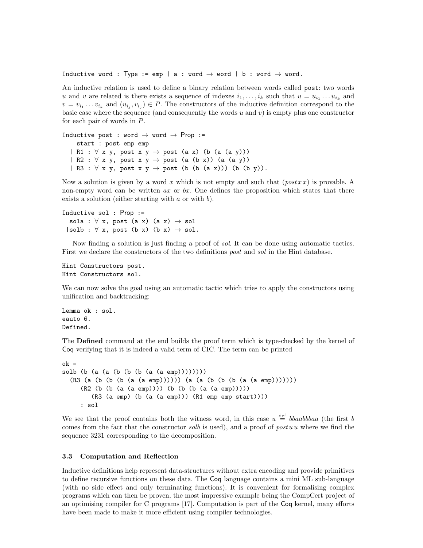Inductive word : Type := emp | a : word  $\rightarrow$  word | b : word  $\rightarrow$  word.

An inductive relation is used to define a binary relation between words called post: two words u and v are related is there exists a sequence of indexes  $i_1, \ldots, i_k$  such that  $u = u_{i_1} \ldots u_{i_k}$  and  $v = v_{i_1} \dots v_{i_k}$  and  $(u_{i_j}, v_{i_j}) \in P$ . The constructors of the inductive definition correspond to the basic case where the sequence (and consequently the words  $u$  and  $v$ ) is empty plus one constructor for each pair of words in P.

```
Inductive post : word \rightarrow word \rightarrow Prop :=
     start : post emp emp
  | R1 : \forall x y, post x y \rightarrow post (a x) (b (a (a y)))
  | R2 : \forall x y, post x y \rightarrow post (a (b x)) (a (a y))
  | R3 : \forall x y, post x y \rightarrow post (b (b (a x))) (b (b y)).
```
Now a solution is given by a word x which is not empty and such that  $(postxx)$  is provable. A non-empty word can be written  $ax$  or  $bx$ . One defines the proposition which states that there exists a solution (either starting with  $a$  or with  $b$ ).

```
Inductive sol : Prop :=
  sola : \forall x, post (a x) (a x) \rightarrow sol
 |s_0| : \forall x, post (b x) (b x) \rightarrow sol.
```
Now finding a solution is just finding a proof of sol. It can be done using automatic tactics. First we declare the constructors of the two definitions *post* and *sol* in the Hint database.

```
Hint Constructors post.
Hint Constructors sol.
```
We can now solve the goal using an automatic tactic which tries to apply the constructors using unification and backtracking:

Lemma ok : sol. eauto 6. Defined.

The Defined command at the end builds the proof term which is type-checked by the kernel of Coq verifying that it is indeed a valid term of CIC. The term can be printed

```
ok =solb (b (a (a (b (b (b (a (a emp))))))))
  (R3 (a (b (b (b (a (a emp)))))) (a (a (b (b (b (a (a emp)))))))
     (R2 (b (b (a (a emp)))) (b (b (b (a (a emp)))))
        (R3 (a emp) (b (a (a emp))) (R1 emp emp start))))
     : sol
```
We see that the proof contains both the witness word, in this case  $u \stackrel{\text{def}}{=} bbaabbba$  (the first b comes from the fact that the constructor solb is used), and a proof of post u where we find the sequence 3231 corresponding to the decomposition.

#### 3.3 Computation and Reflection

Inductive definitions help represent data-structures without extra encoding and provide primitives to define recursive functions on these data. The Coq language contains a mini ML sub-language (with no side effect and only terminating functions). It is convenient for formalising complex programs which can then be proven, the most impressive example being the CompCert project of an optimising compiler for C programs [17]. Computation is part of the Coq kernel, many efforts have been made to make it more efficient using compiler technologies.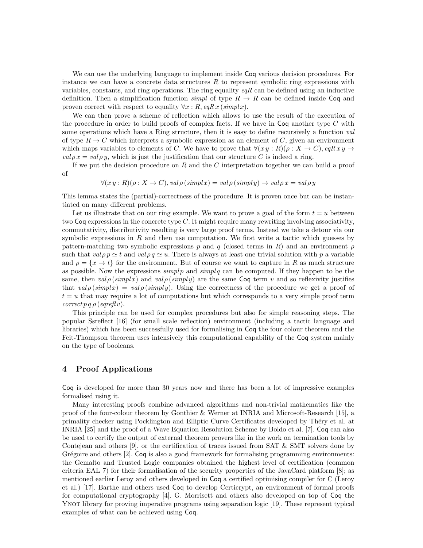We can use the underlying language to implement inside Coq various decision procedures. For instance we can have a concrete data structures  $R$  to represent symbolic ring expressions with variables, constants, and ring operations. The ring equality  $eqR$  can be defined using an inductive definition. Then a simplification function simple of type  $R \to R$  can be defined inside Coq and proven correct with respect to equality  $\forall x : R$ , eqR x (simplx).

We can then prove a scheme of reflection which allows to use the result of the execution of the procedure in order to build proofs of complex facts. If we have in  $\text{Coq}$  another type C with some operations which have a Ring structure, then it is easy to define recursively a function val of type  $R \to C$  which interprets a symbolic expression as an element of C, given an environment which maps variables to elements of C. We have to prove that  $\forall (xy : R)(\rho : X \to C)$ ,  $eqRx y \to$  $val \rho x = val \rho y$ , which is just the justification that our structure C is indeed a ring.

If we put the decision procedure on R and the C interpretation together we can build a proof of

 $\forall (x \, y : R)(\rho : X \to C), \text{val}\rho(\text{simpl}x) = \text{val}\rho(\text{simpl}y) \to \text{val}\rho x = \text{val}\rho y$ 

This lemma states the (partial)-correctness of the procedure. It is proven once but can be instantiated on many different problems.

Let us illustrate that on our ring example. We want to prove a goal of the form  $t = u$  between two Coq expressions in the concrete type C. It might require many rewriting involving associativity, commutativity, distributivity resulting is very large proof terms. Instead we take a detour via our symbolic expressions in  $R$  and then use computation. We first write a tactic which guesses by pattern-matching two symbolic expressions p and q (closed terms in R) and an environment  $\rho$ such that  $val \rho p \simeq t$  and  $val \rho q \simeq u$ . There is always at least one trivial solution with p a variable and  $\rho = \{x \mapsto t\}$  for the environment. But of course we want to capture in R as much structure as possible. Now the expressions  $\text{simpl } p$  and  $\text{simpl } q$  can be computed. If they happen to be the same, then  $val \rho (simpl x)$  and  $val \rho (simpl y)$  are the same Coq term v and so reflexivity justifies that  $val \rho (simpl x) = val \rho (simpl y)$ . Using the correctness of the procedure we get a proof of  $t = u$  that may require a lot of computations but which corresponds to a very simple proof term  $correct\,p\,q\,\rho\,(eqreflv).$ 

This principle can be used for complex procedures but also for simple reasoning steps. The popular Ssreflect [16] (for small scale reflection) environment (including a tactic language and libraries) which has been successfully used for formalising in Coq the four colour theorem and the Feit-Thompson theorem uses intensively this computational capability of the Coq system mainly on the type of booleans.

#### 4 Proof Applications

Coq is developed for more than 30 years now and there has been a lot of impressive examples formalised using it.

Many interesting proofs combine advanced algorithms and non-trivial mathematics like the proof of the four-colour theorem by Gonthier & Werner at INRIA and Microsoft-Research [15], a primality checker using Pocklington and Elliptic Curve Certificates developed by Théry et al. at INRIA [25] and the proof of a Wave Equation Resolution Scheme by Boldo et al. [7]. Coq can also be used to certify the output of external theorem provers like in the work on termination tools by Contejean and others [9], or the certification of traces issued from SAT  $&$  SMT solvers done by Grégoire and others  $[2]$ . Coq is also a good framework for formalising programming environments: the Gemalto and Trusted Logic companies obtained the highest level of certification (common criteria EAL 7) for their formalisation of the security properties of the JavaCard platform [8]; as mentioned earlier Leroy and others developed in Coq a certified optimising compiler for C (Leroy et al.) [17]. Barthe and others used Coq to develop Certicrypt, an environment of formal proofs for computational cryptography [4]. G. Morrisett and others also developed on top of Coq the YNOT library for proving imperative programs using separation logic [19]. These represent typical examples of what can be achieved using Coq.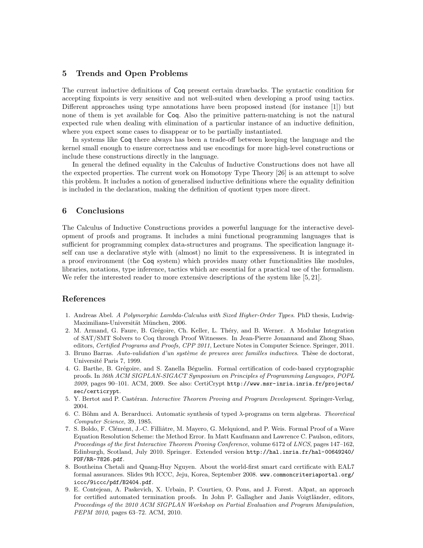#### 5 Trends and Open Problems

The current inductive definitions of Coq present certain drawbacks. The syntactic condition for accepting fixpoints is very sensitive and not well-suited when developing a proof using tactics. Different approaches using type annotations have been proposed instead (for instance [1]) but none of them is yet available for Coq. Also the primitive pattern-matching is not the natural expected rule when dealing with elimination of a particular instance of an inductive definition, where you expect some cases to disappear or to be partially instantiated.

In systems like Coq there always has been a trade-off between keeping the language and the kernel small enough to ensure correctness and use encodings for more high-level constructions or include these constructions directly in the language.

In general the defined equality in the Calculus of Inductive Constructions does not have all the expected properties. The current work on Homotopy Type Theory [26] is an attempt to solve this problem. It includes a notion of generalised inductive definitions where the equality definition is included in the declaration, making the definition of quotient types more direct.

#### 6 Conclusions

The Calculus of Inductive Constructions provides a powerful language for the interactive development of proofs and programs. It includes a mini functional programming languages that is sufficient for programming complex data-structures and programs. The specification language itself can use a declarative style with (almost) no limit to the expressiveness. It is integrated in a proof environment (the Coq system) which provides many other functionalities like modules, libraries, notations, type inference, tactics which are essential for a practical use of the formalism. We refer the interested reader to more extensive descriptions of the system like [5, 21].

#### References

- 1. Andreas Abel. A Polymorphic Lambda-Calculus with Sized Higher-Order Types. PhD thesis, Ludwig-Maximilians-Universität München, 2006.
- 2. M. Armand, G. Faure, B. Grégoire, Ch. Keller, L. Théry, and B. Werner. A Modular Integration of SAT/SMT Solvers to Coq through Proof Witnesses. In Jean-Pierre Jouannaud and Zhong Shao, editors, Certified Programs and Proofs, CPP 2011, Lecture Notes in Computer Science. Springer, 2011.
- 3. Bruno Barras. Auto-validation d'un système de preuves avec familles inductives. Thèse de doctorat, Université Paris 7, 1999.
- 4. G. Barthe, B. Grégoire, and S. Zanella Béguelin. Formal certification of code-based cryptographic proofs. In 36th ACM SIGPLAN-SIGACT Symposium on Principles of Programming Languages, POPL 2009, pages 90–101. ACM, 2009. See also: CertiCrypt http://www.msr-inria.inria.fr/projects/ sec/certicrypt.
- 5. Y. Bertot and P. Castéran. Interactive Theorem Proving and Program Development. Springer-Verlag, 2004.
- 6. C. Böhm and A. Berarducci. Automatic synthesis of typed  $\lambda$ -programs on term algebras. Theoretical Computer Science, 39, 1985.
- 7. S. Boldo, F. Clément, J.-C. Filliâtre, M. Mayero, G. Melquiond, and P. Weis. Formal Proof of a Wave Equation Resolution Scheme: the Method Error. In Matt Kaufmann and Lawrence C. Paulson, editors, Proceedings of the first Interactive Theorem Proving Conference, volume 6172 of LNCS, pages 147–162, Edinburgh, Scotland, July 2010. Springer. Extended version http://hal.inria.fr/hal-00649240/ PDF/RR-7826.pdf.
- 8. Boutheina Chetali and Quang-Huy Nguyen. About the world-first smart card certificate with EAL7 formal assurances. Slides 9th ICCC, Jeju, Korea, September 2008. www.commoncriteriaportal.org/ iccc/9iccc/pdf/B2404.pdf.
- 9. E. Contejean, A. Paskevich, X. Urbain, P. Courtieu, O. Pons, and J. Forest. A3pat, an approach for certified automated termination proofs. In John P. Gallagher and Janis Voigtländer, editors, Proceedings of the 2010 ACM SIGPLAN Workshop on Partial Evaluation and Program Manipulation, PEPM 2010, pages 63–72. ACM, 2010.